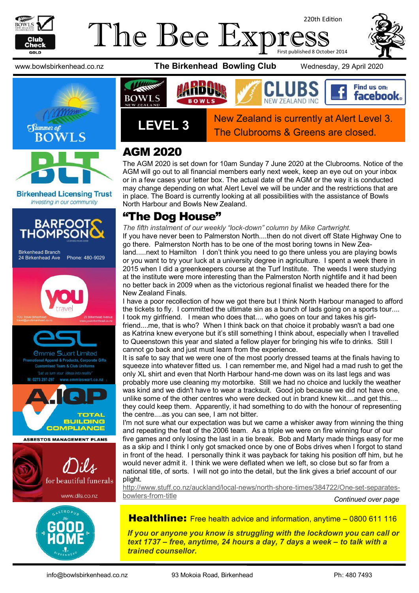

### The Bee Exp 220th Edition First published 8 October 2014

www.bowlsbirkenhead.co.nz **The Birkenhead Bowling Club** Wednesday, 29 April 2020



**Birkenhead Licensing Trust** Investing in our community









**LEVEL 3** New Zealand is currently at Alert Level 3. The Clubrooms & Greens are closed.

# AGM 2020

The AGM 2020 is set down for 10am Sunday 7 June 2020 at the Clubrooms. Notice of the AGM will go out to all financial members early next week, keep an eye out on your inbox or in a few cases your letter box. The actual date of the AGM or the way it is conducted may change depending on what Alert Level we will be under and the restrictions that are in place. The Board is currently looking at all possibilities with the assistance of Bowls North Harbour and Bowls New Zealand.

# "The Dog House"

*The fifth instalment of our weekly "lock-down" column by Mike Cartwright.* 

If you have never been to Palmerston North....then do not divert off State Highway One to go there. Palmerston North has to be one of the most boring towns in New Zealand.....next to Hamilton I don't think you need to go there unless you are playing bowls or you want to try your luck at a university degree in agriculture. I spent a week there in 2015 when I did a greenkeepers course at the Turf Institute. The weeds I were studying at the institute were more interesting than the Palmerston North nightlife and it had been no better back in 2009 when as the victorious regional finalist we headed there for the New Zealand Finals.

I have a poor recollection of how we got there but I think North Harbour managed to afford the tickets to fly. I committed the ultimate sin as a bunch of lads going on a sports tour.... I took my girlfriend. I mean who does that.... who goes on tour and takes his girlfriend....me, that is who? When I think back on that choice it probably wasn't a bad one as Katrina knew everyone but it's still something I think about, especially when I travelled to Queenstown this year and slated a fellow player for bringing his wife to drinks. Still I cannot go back and just must learn from the experience.

It is safe to say that we were one of the most poorly dressed teams at the finals having to squeeze into whatever fitted us. I can remember me, and Nigel had a mad rush to get the only XL shirt and even that North Harbour hand-me down was on its last legs and was probably more use cleaning my motorbike. Still we had no choice and luckily the weather was kind and we didn't have to wear a tracksuit. Good job because we did not have one, unlike some of the other centres who were decked out in brand knew kit....and get this.... they could keep them. Apparently, it had something to do with the honour of representing the centre....as you can see, I am not bitter.

I'm not sure what our expectation was but we came a whisker away from winning the thing and repeating the feat of the 2006 team. As a triple we were on fire winning four of our five games and only losing the last in a tie break. Bob and Marty made things easy for me as a skip and I think I only got smacked once by one of Bobs drives when I forgot to stand in front of the head. I personally think it was payback for taking his position off him, but he would never admit it. I think we were deflated when we left, so close but so far from a national title, of sorts. I will not go into the detail, but the link gives a brief account of our plight.

[http://www.stuff.co.nz/auckland/local-news/north-shore-times/384722/One-set-separates](http://www.stuff.co.nz/auckland/local-news/north-shore-times/384722/One-set-separates-bowlers-from-title)[bowlers-from-title](http://www.stuff.co.nz/auckland/local-news/north-shore-times/384722/One-set-separates-bowlers-from-title)

*Continued over page*

Healthline: Free health advice and information, anytime - [0800 611 116](tel:0800611116)

*If you or anyone you know is struggling with the lockdown you can call or text 1737 – free, anytime, 24 hours a day, 7 days a week – to talk with a trained counsellor.*